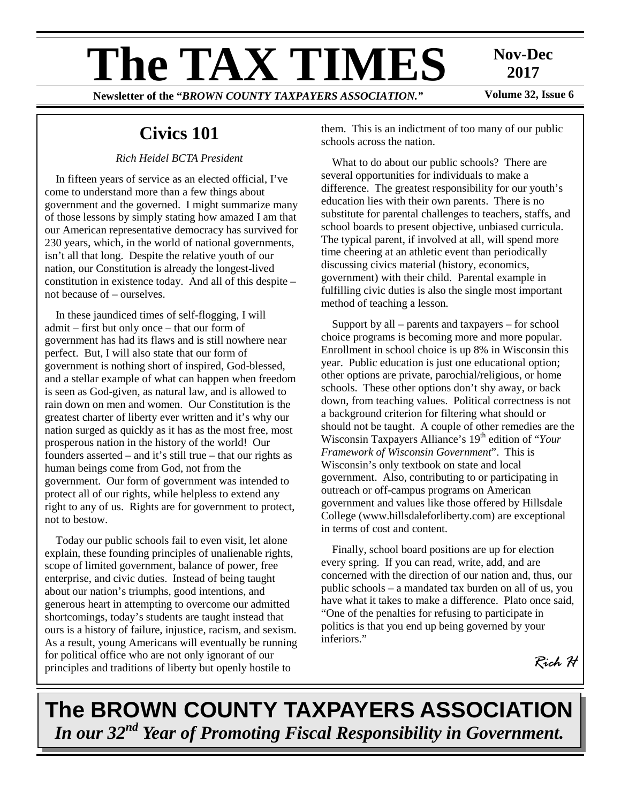# **The TAX TIMES** Nov-Dec Now Dec Now COUNTY TAXPAYERS ASSOCIATION "Volume 32, Issue 6

# **2017**

**Newsletter of the "BROWN COUNTY TAXPAYERS ASSOCIATION."** 

# **Civics 101**

#### *Rich Heidel BCTA President*

In fifteen years of service as an elected official, I've come to understand more than a few things about government and the governed. I might summarize many of those lessons by simply stating how amazed I am that our American representative democracy has survived for 230 years, which, in the world of national governments, isn't all that long. Despite the relative youth of our nation, our Constitution is already the longest-lived constitution in existence today. And all of this despite – not because of – ourselves.

In these jaundiced times of self-flogging, I will admit – first but only once – that our form of government has had its flaws and is still nowhere near perfect. But, I will also state that our form of government is nothing short of inspired, God-blessed, and a stellar example of what can happen when freedom is seen as God-given, as natural law, and is allowed to rain down on men and women. Our Constitution is the greatest charter of liberty ever written and it's why our nation surged as quickly as it has as the most free, most prosperous nation in the history of the world! Our founders asserted – and it's still true – that our rights as human beings come from God, not from the government. Our form of government was intended to protect all of our rights, while helpless to extend any right to any of us. Rights are for government to protect, not to bestow.

Today our public schools fail to even visit, let alone explain, these founding principles of unalienable rights, scope of limited government, balance of power, free enterprise, and civic duties. Instead of being taught about our nation's triumphs, good intentions, and generous heart in attempting to overcome our admitted shortcomings, today's students are taught instead that ours is a history of failure, injustice, racism, and sexism. As a result, young Americans will eventually be running for political office who are not only ignorant of our principles and traditions of liberty but openly hostile to

them. This is an indictment of too many of our public schools across the nation.

What to do about our public schools? There are several opportunities for individuals to make a difference. The greatest responsibility for our youth's education lies with their own parents. There is no substitute for parental challenges to teachers, staffs, and school boards to present objective, unbiased curricula. The typical parent, if involved at all, will spend more time cheering at an athletic event than periodically discussing civics material (history, economics, government) with their child. Parental example in fulfilling civic duties is also the single most important method of teaching a lesson.

Support by all – parents and taxpayers – for school choice programs is becoming more and more popular. Enrollment in school choice is up 8% in Wisconsin this year. Public education is just one educational option; other options are private, parochial/religious, or home schools. These other options don't shy away, or back down, from teaching values. Political correctness is not a background criterion for filtering what should or should not be taught. A couple of other remedies are the Wisconsin Taxpayers Alliance's 19<sup>th</sup> edition of "*Your*" *Framework of Wisconsin Government*". This is Wisconsin's only textbook on state and local government. Also, contributing to or participating in outreach or off-campus programs on American government and values like those offered by Hillsdale College (www.hillsdaleforliberty.com) are exceptional in terms of cost and content.

Finally, school board positions are up for election every spring. If you can read, write, add, and are concerned with the direction of our nation and, thus, our public schools – a mandated tax burden on all of us, you have what it takes to make a difference. Plato once said, "One of the penalties for refusing to participate in politics is that you end up being governed by your inferiors."

*Rich H* 

**The BROWN COUNTY TAXPAYERS ASSOCIATION**  *In our 32nd Year of Promoting Fiscal Responsibility in Government.*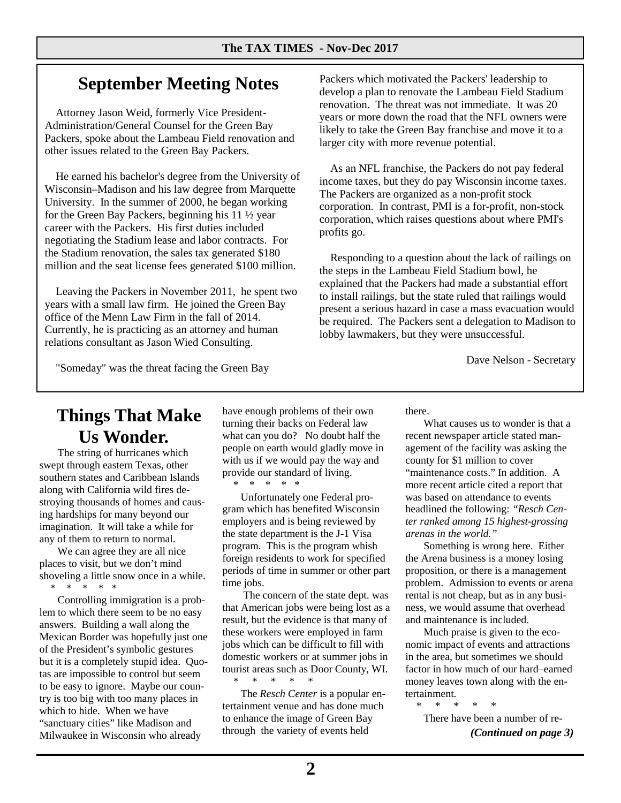# **September Meeting Notes**

Attorney Jason Weid, formerly Vice President-Administration/General Counsel for the Green Bay Packers, spoke about the Lambeau Field renovation and other issues related to the Green Bay Packers.

He earned his bachelor's degree from the University of Wisconsin–Madison and his law degree from Marquette University. In the summer of 2000, he began working for the Green Bay Packers, beginning his 11 ½ year career with the Packers. His first duties included negotiating the Stadium lease and labor contracts. For the Stadium renovation, the sales tax generated \$180 million and the seat license fees generated \$100 million.

Leaving the Packers in November 2011, he spent two years with a small law firm. He joined the Green Bay office of the Menn Law Firm in the fall of 2014. Currently, he is practicing as an attorney and human relations consultant as Jason Wied Consulting.

Packers which motivated the Packers' leadership to develop a plan to renovate the Lambeau Field Stadium renovation. The threat was not immediate. It was 20 years or more down the road that the NFL owners were likely to take the Green Bay franchise and move it to a larger city with more revenue potential.

As an NFL franchise, the Packers do not pay federal income taxes, but they do pay Wisconsin income taxes. The Packers are organized as a non-profit stock corporation. In contrast, PMI is a for-profit, non-stock corporation, which raises questions about where PMI's profits go.

Responding to a question about the lack of railings on the steps in the Lambeau Field Stadium bowl, he explained that the Packers had made a substantial effort to install railings, but the state ruled that railings would present a serious hazard in case a mass evacuation would be required. The Packers sent a delegation to Madison to lobby lawmakers, but they were unsuccessful.

Dave Nelson - Secretary

"Someday" was the threat facing the Green Bay

# **Things That Make Us Wonder.**

 The string of hurricanes which swept through eastern Texas, other southern states and Caribbean Islands along with California wild fires destroying thousands of homes and causing hardships for many beyond our imagination. It will take a while for any of them to return to normal.

 We can agree they are all nice places to visit, but we don't mind shoveling a little snow once in a while. \* \* \* \* \*

 Controlling immigration is a problem to which there seem to be no easy answers. Building a wall along the Mexican Border was hopefully just one of the President's symbolic gestures but it is a completely stupid idea. Quotas are impossible to control but seem to be easy to ignore. Maybe our country is too big with too many places in which to hide. When we have "sanctuary cities" like Madison and Milwaukee in Wisconsin who already

have enough problems of their own turning their backs on Federal law what can you do? No doubt half the people on earth would gladly move in with us if we would pay the way and provide our standard of living. \* \* \* \* \*

 Unfortunately one Federal program which has benefited Wisconsin employers and is being reviewed by the state department is the J-1 Visa program. This is the program whish foreign residents to work for specified periods of time in summer or other part time jobs.

 The concern of the state dept. was that American jobs were being lost as a result, but the evidence is that many of these workers were employed in farm jobs which can be difficult to fill with domestic workers or at summer jobs in tourist areas such as Door County, WI. \* \* \* \* \*

 The *Resch Center* is a popular entertainment venue and has done much to enhance the image of Green Bay through the variety of events held

there.

 What causes us to wonder is that a recent newspaper article stated management of the facility was asking the county for \$1 million to cover "maintenance costs." In addition. A more recent article cited a report that was based on attendance to events headlined the following: *"Resch Center ranked among 15 highest-grossing arenas in the world."* 

 Something is wrong here. Either the Arena business is a money losing proposition, or there is a management problem. Admission to events or arena rental is not cheap, but as in any business, we would assume that overhead and maintenance is included.

 Much praise is given to the economic impact of events and attractions in the area, but sometimes we should factor in how much of our hard–earned money leaves town along with the entertainment.

\* \* \* \* \* There have been a number of re- *(Continued on page 3)*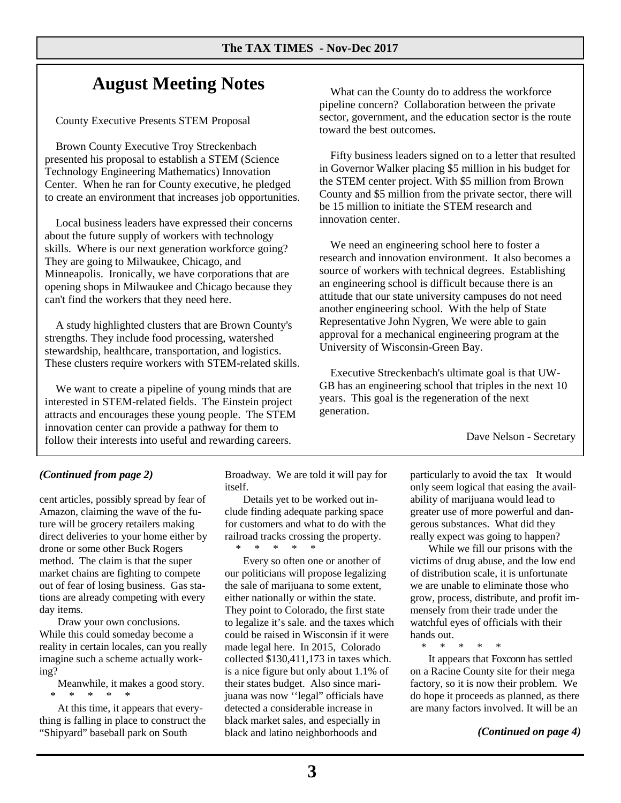# **August Meeting Notes**

County Executive Presents STEM Proposal

Brown County Executive Troy Streckenbach presented his proposal to establish a STEM (Science Technology Engineering Mathematics) Innovation Center. When he ran for County executive, he pledged to create an environment that increases job opportunities.

Local business leaders have expressed their concerns about the future supply of workers with technology skills. Where is our next generation workforce going? They are going to Milwaukee, Chicago, and Minneapolis. Ironically, we have corporations that are opening shops in Milwaukee and Chicago because they can't find the workers that they need here.

A study highlighted clusters that are Brown County's strengths. They include food processing, watershed stewardship, healthcare, transportation, and logistics. These clusters require workers with STEM-related skills.

We want to create a pipeline of young minds that are interested in STEM-related fields. The Einstein project attracts and encourages these young people. The STEM innovation center can provide a pathway for them to follow their interests into useful and rewarding careers.

What can the County do to address the workforce pipeline concern? Collaboration between the private sector, government, and the education sector is the route toward the best outcomes.

Fifty business leaders signed on to a letter that resulted in Governor Walker placing \$5 million in his budget for the STEM center project. With \$5 million from Brown County and \$5 million from the private sector, there will be 15 million to initiate the STEM research and innovation center.

We need an engineering school here to foster a research and innovation environment. It also becomes a source of workers with technical degrees. Establishing an engineering school is difficult because there is an attitude that our state university campuses do not need another engineering school. With the help of State Representative John Nygren, We were able to gain approval for a mechanical engineering program at the University of Wisconsin-Green Bay.

Executive Streckenbach's ultimate goal is that UW-GB has an engineering school that triples in the next 10 years. This goal is the regeneration of the next generation.

Dave Nelson - Secretary

#### *(Continued from page 2)*

cent articles, possibly spread by fear of Amazon, claiming the wave of the future will be grocery retailers making direct deliveries to your home either by drone or some other Buck Rogers method. The claim is that the super market chains are fighting to compete out of fear of losing business. Gas stations are already competing with every day items.

 Draw your own conclusions. While this could someday become a reality in certain locales, can you really imagine such a scheme actually working?

 Meanwhile, it makes a good story. \* \* \* \* \*

 At this time, it appears that everything is falling in place to construct the "Shipyard" baseball park on South

Broadway. We are told it will pay for itself.

 Details yet to be worked out include finding adequate parking space for customers and what to do with the railroad tracks crossing the property. \* \* \* \* \*

 Every so often one or another of our politicians will propose legalizing the sale of marijuana to some extent, either nationally or within the state. They point to Colorado, the first state to legalize it's sale. and the taxes which could be raised in Wisconsin if it were made legal here. In 2015, Colorado collected \$130,411,173 in taxes which. is a nice figure but only about 1.1% of their states budget. Also since marijuana was now ''legal" officials have detected a considerable increase in black market sales, and especially in black and latino neighborhoods and

particularly to avoid the tax It would only seem logical that easing the availability of marijuana would lead to greater use of more powerful and dangerous substances. What did they really expect was going to happen?

 While we fill our prisons with the victims of drug abuse, and the low end of distribution scale, it is unfortunate we are unable to eliminate those who grow, process, distribute, and profit immensely from their trade under the watchful eyes of officials with their hands out.

\* \* \* \* \*

 It appears that Foxconn has settled on a Racine County site for their mega factory, so it is now their problem. We do hope it proceeds as planned, as there are many factors involved. It will be an

*(Continued on page 4)*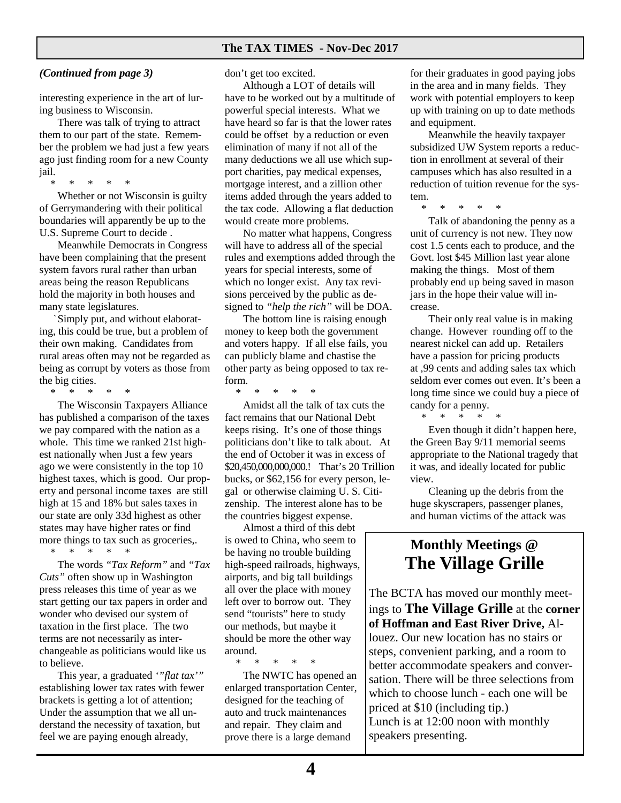#### **The TAX TIMES - Nov-Dec 2017**

#### *(Continued from page 3)*

interesting experience in the art of luring business to Wisconsin.

 There was talk of trying to attract them to our part of the state. Remember the problem we had just a few years ago just finding room for a new County jail.

\* \* \* \* \*

 Whether or not Wisconsin is guilty of Gerrymandering with their political boundaries will apparently be up to the U.S. Supreme Court to decide .

 Meanwhile Democrats in Congress have been complaining that the present system favors rural rather than urban areas being the reason Republicans hold the majority in both houses and many state legislatures.

 ` Simply put, and without elaborating, this could be true, but a problem of their own making. Candidates from rural areas often may not be regarded as being as corrupt by voters as those from the big cities.

\* \* \* \* \*

 The Wisconsin Taxpayers Alliance has published a comparison of the taxes we pay compared with the nation as a whole. This time we ranked 21st highest nationally when Just a few years ago we were consistently in the top 10 highest taxes, which is good. Our property and personal income taxes are still high at 15 and 18% but sales taxes in our state are only 33d highest as other states may have higher rates or find more things to tax such as groceries,. \* \* \* \* \*

The words *"Tax Reform"* and *"Tax* 

*Cuts"* often show up in Washington press releases this time of year as we start getting our tax papers in order and wonder who devised our system of taxation in the first place. The two terms are not necessarily as interchangeable as politicians would like us to believe.

 This year, a graduated *'"flat tax'"*  establishing lower tax rates with fewer brackets is getting a lot of attention; Under the assumption that we all understand the necessity of taxation, but feel we are paying enough already,

don't get too excited.

 Although a LOT of details will have to be worked out by a multitude of powerful special interests. What we have heard so far is that the lower rates could be offset by a reduction or even elimination of many if not all of the many deductions we all use which support charities, pay medical expenses, mortgage interest, and a zillion other items added through the years added to the tax code. Allowing a flat deduction would create more problems.

 No matter what happens, Congress will have to address all of the special rules and exemptions added through the years for special interests, some of which no longer exist. Any tax revisions perceived by the public as designed to *"help the rich"* will be DOA.

 The bottom line is raising enough money to keep both the government and voters happy. If all else fails, you can publicly blame and chastise the other party as being opposed to tax reform.

\* \* \* \* \*

 Amidst all the talk of tax cuts the fact remains that our National Debt keeps rising. It's one of those things politicians don't like to talk about. At the end of October it was in excess of \$20,450,000,000,000.! That's 20 Trillion bucks, or \$62,156 for every person, legal or otherwise claiming U. S. Citizenship. The interest alone has to be the countries biggest expense.

 Almost a third of this debt is owed to China, who seem to be having no trouble building high-speed railroads, highways, airports, and big tall buildings all over the place with money left over to borrow out. They send "tourists" here to study our methods, but maybe it should be more the other way around.

\* \* \* \* \*

 The NWTC has opened an enlarged transportation Center, designed for the teaching of auto and truck maintenances and repair. They claim and prove there is a large demand

for their graduates in good paying jobs in the area and in many fields. They work with potential employers to keep up with training on up to date methods and equipment.

 Meanwhile the heavily taxpayer subsidized UW System reports a reduction in enrollment at several of their campuses which has also resulted in a reduction of tuition revenue for the system.

\* \* \* \* \*

 Talk of abandoning the penny as a unit of currency is not new. They now cost 1.5 cents each to produce, and the Govt. lost \$45 Million last year alone making the things. Most of them probably end up being saved in mason jars in the hope their value will increase.

 Their only real value is in making change. However rounding off to the nearest nickel can add up. Retailers have a passion for pricing products at ,99 cents and adding sales tax which seldom ever comes out even. It's been a long time since we could buy a piece of candy for a penny.

\* \* \* \* \*

 Even though it didn't happen here, the Green Bay 9/11 memorial seems appropriate to the National tragedy that it was, and ideally located for public view.

 Cleaning up the debris from the huge skyscrapers, passenger planes, and human victims of the attack was

### **Monthly Meetings @ The Village Grille**

*(Continued on page 5)*  The BCTA has moved our monthly meetings to **The Village Grille** at the **corner of Hoffman and East River Drive,** Allouez. Our new location has no stairs or steps, convenient parking, and a room to better accommodate speakers and conversation. There will be three selections from which to choose lunch - each one will be priced at \$10 (including tip.) Lunch is at 12:00 noon with monthly speakers presenting.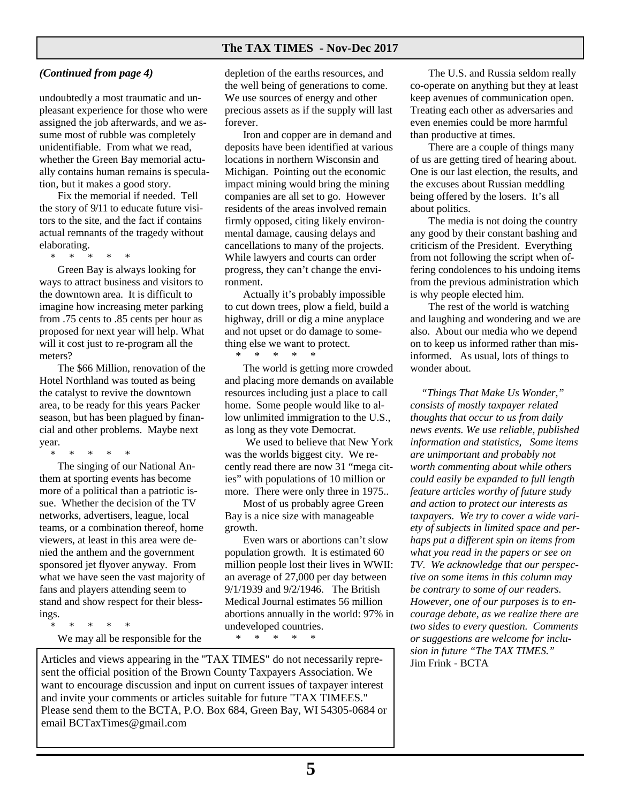#### **The TAX TIMES - Nov-Dec 2017**

#### *(Continued from page 4)*

undoubtedly a most traumatic and unpleasant experience for those who were assigned the job afterwards, and we assume most of rubble was completely unidentifiable. From what we read, whether the Green Bay memorial actually contains human remains is speculation, but it makes a good story.

 Fix the memorial if needed. Tell the story of 9/11 to educate future visitors to the site, and the fact if contains actual remnants of the tragedy without elaborating.

\* \* \* \* \*

 Green Bay is always looking for ways to attract business and visitors to the downtown area. It is difficult to imagine how increasing meter parking from .75 cents to .85 cents per hour as proposed for next year will help. What will it cost just to re-program all the meters?

 The \$66 Million, renovation of the Hotel Northland was touted as being the catalyst to revive the downtown area, to be ready for this years Packer season, but has been plagued by financial and other problems. Maybe next year.

\* \* \* \* \*

 The singing of our National Anthem at sporting events has become more of a political than a patriotic issue. Whether the decision of the TV networks, advertisers, league, local teams, or a combination thereof, home viewers, at least in this area were denied the anthem and the government sponsored jet flyover anyway. From what we have seen the vast majority of fans and players attending seem to stand and show respect for their blessings.

\* \* \* \* \*

We may all be responsible for the

depletion of the earths resources, and the well being of generations to come. We use sources of energy and other precious assets as if the supply will last forever.

 Iron and copper are in demand and deposits have been identified at various locations in northern Wisconsin and Michigan. Pointing out the economic impact mining would bring the mining companies are all set to go. However residents of the areas involved remain firmly opposed, citing likely environmental damage, causing delays and cancellations to many of the projects. While lawyers and courts can order progress, they can't change the environment.

 Actually it's probably impossible to cut down trees, plow a field, build a highway, drill or dig a mine anyplace and not upset or do damage to something else we want to protect.

\* \* \* \* \*

 The world is getting more crowded and placing more demands on available resources including just a place to call home. Some people would like to allow unlimited immigration to the U.S., as long as they vote Democrat.

 We used to believe that New York was the worlds biggest city. We recently read there are now 31 "mega cities" with populations of 10 million or more. There were only three in 1975..

 Most of us probably agree Green Bay is a nice size with manageable growth.

 Even wars or abortions can't slow population growth. It is estimated 60 million people lost their lives in WWII: an average of 27,000 per day between 9/1/1939 and 9/2/1946. The British Medical Journal estimates 56 million abortions annually in the world: 97% in undeveloped countries.

\* \* \* \* \*

Articles and views appearing in the "TAX TIMES" do not necessarily repre- $\int_{\text{Jim Frink - BCTA}}$ sent the official position of the Brown County Taxpayers Association. We want to encourage discussion and input on current issues of taxpayer interest and invite your comments or articles suitable for future "TAX TIMEES." Please send them to the BCTA, P.O. Box 684, Green Bay, WI 54305-0684 or email BCTaxTimes@gmail.com

 The U.S. and Russia seldom really co-operate on anything but they at least keep avenues of communication open. Treating each other as adversaries and even enemies could be more harmful than productive at times.

 There are a couple of things many of us are getting tired of hearing about. One is our last election, the results, and the excuses about Russian meddling being offered by the losers. It's all about politics.

 The media is not doing the country any good by their constant bashing and criticism of the President. Everything from not following the script when offering condolences to his undoing items from the previous administration which is why people elected him.

 The rest of the world is watching and laughing and wondering and we are also. About our media who we depend on to keep us informed rather than misinformed. As usual, lots of things to wonder about.

*"Things That Make Us Wonder," consists of mostly taxpayer related thoughts that occur to us from daily news events. We use reliable, published information and statistics, Some items are unimportant and probably not worth commenting about while others could easily be expanded to full length feature articles worthy of future study and action to protect our interests as taxpayers. We try to cover a wide variety of subjects in limited space and perhaps put a different spin on items from what you read in the papers or see on TV. We acknowledge that our perspective on some items in this column may be contrary to some of our readers. However, one of our purposes is to encourage debate, as we realize there are two sides to every question. Comments or suggestions are welcome for inclusion in future "The TAX TIMES."*